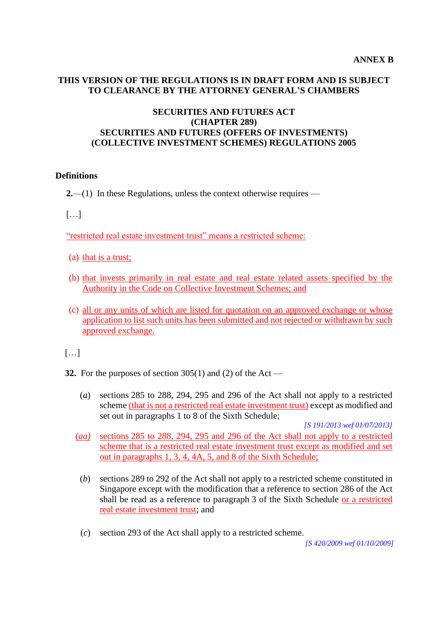### **THIS VERSION OF THE REGULATIONS IS IN DRAFT FORM AND IS SUBJECT TO CLEARANCE BY THE ATTORNEY GENERAL'S CHAMBERS**

## **SECURITIES AND FUTURES ACT (CHAPTER 289) SECURITIES AND FUTURES (OFFERS OF INVESTMENTS) (COLLECTIVE INVESTMENT SCHEMES) REGULATIONS 2005**

#### **Definitions**

**2.**—(1) In these Regulations, unless the context otherwise requires —

[…]

"restricted real estate investment trust" means a restricted scheme:

- (a) that is a trust;
- (b) that invests primarily in real estate and real estate related assets specified by the Authority in the Code on Collective Investment Schemes; and
- (c) all or any units of which are listed for quotation on an approved exchange or whose application to list such units has been submitted and not rejected or withdrawn by such approved exchange.

 $[\ldots]$ 

- **32.** For the purposes of section 305(1) and (2) of the Act
	- (*a*) sections 285 to 288, 294, 295 and 296 of the Act shall not apply to a restricted scheme (that is not a restricted real estate investment trust) except as modified and set out in paragraphs 1 to 8 of the Sixth Schedule;

*[S 191/2013 wef 01/07/2013]*

- (*aa)* sections 285 to 288, 294, 295 and 296 of the Act shall not apply to a restricted scheme that is a restricted real estate investment trust except as modified and set out in paragraphs 1, 3, 4, 4A, 5, and 8 of the Sixth Schedule;
- (*b*) sections 289 to 292 of the Act shall not apply to a restricted scheme constituted in Singapore except with the modification that a reference to section 286 of the Act shall be read as a reference to paragraph 3 of the Sixth Schedule or a restricted real estate investment trust; and
- (*c*) section 293 of the Act shall apply to a restricted scheme.

*[S 420/2009 wef 01/10/2009]*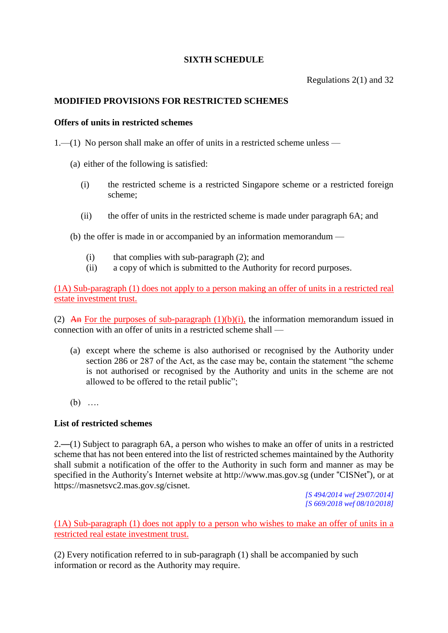# **SIXTH SCHEDULE**

Regulations 2(1) and 32

# **MODIFIED PROVISIONS FOR RESTRICTED SCHEMES**

#### **Offers of units in restricted schemes**

1.—(1) No person shall make an offer of units in a restricted scheme unless —

- (a) either of the following is satisfied:
	- (i) the restricted scheme is a restricted Singapore scheme or a restricted foreign scheme;
	- (ii) the offer of units in the restricted scheme is made under paragraph 6A; and

(b) the offer is made in or accompanied by an information memorandum —

- (i) that complies with sub-paragraph (2); and
- (ii) a copy of which is submitted to the Authority for record purposes.

(1A) Sub-paragraph (1) does not apply to a person making an offer of units in a restricted real estate investment trust.

(2) An For the purposes of sub-paragraph  $(1)(b)(i)$ , the information memorandum issued in connection with an offer of units in a restricted scheme shall —

- (a) except where the scheme is also authorised or recognised by the Authority under section 286 or 287 of the Act, as the case may be, contain the statement "the scheme is not authorised or recognised by the Authority and units in the scheme are not allowed to be offered to the retail public";
- (b) ….

### **List of restricted schemes**

2.—(1) Subject to paragraph 6A, a person who wishes to make an offer of units in a restricted scheme that has not been entered into the list of restricted schemes maintained by the Authority shall submit a notification of the offer to the Authority in such form and manner as may be specified in the Authority's Internet website at http://www.mas.gov.sg (under "CISNet"), or at https://masnetsvc2.mas.gov.sg/cisnet.

> *[S 494/2014 wef 29/07/2014] [S 669/2018 wef 08/10/2018]*

(1A) Sub-paragraph (1) does not apply to a person who wishes to make an offer of units in a restricted real estate investment trust.

(2) Every notification referred to in sub-paragraph (1) shall be accompanied by such information or record as the Authority may require.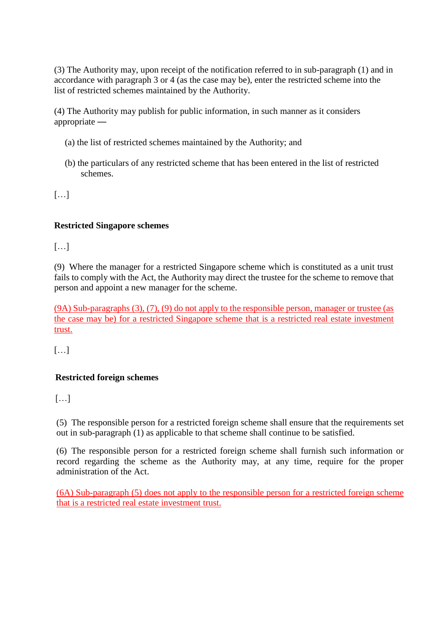(3) The Authority may, upon receipt of the notification referred to in sub-paragraph (1) and in accordance with paragraph 3 or 4 (as the case may be), enter the restricted scheme into the list of restricted schemes maintained by the Authority.

(4) The Authority may publish for public information, in such manner as it considers appropriate —

- (a) the list of restricted schemes maintained by the Authority; and
- (b) the particulars of any restricted scheme that has been entered in the list of restricted schemes.

[…]

# **Restricted Singapore schemes**

[…]

(9) Where the manager for a restricted Singapore scheme which is constituted as a unit trust fails to comply with the Act, the Authority may direct the trustee for the scheme to remove that person and appoint a new manager for the scheme.

(9A) Sub-paragraphs (3), (7), (9) do not apply to the responsible person, manager or trustee (as the case may be) for a restricted Singapore scheme that is a restricted real estate investment trust.

[…]

# **Restricted foreign schemes**

[…]

(5) The responsible person for a restricted foreign scheme shall ensure that the requirements set out in sub-paragraph (1) as applicable to that scheme shall continue to be satisfied.

(6) The responsible person for a restricted foreign scheme shall furnish such information or record regarding the scheme as the Authority may, at any time, require for the proper administration of the Act.

(6A) Sub-paragraph (5) does not apply to the responsible person for a restricted foreign scheme that is a restricted real estate investment trust.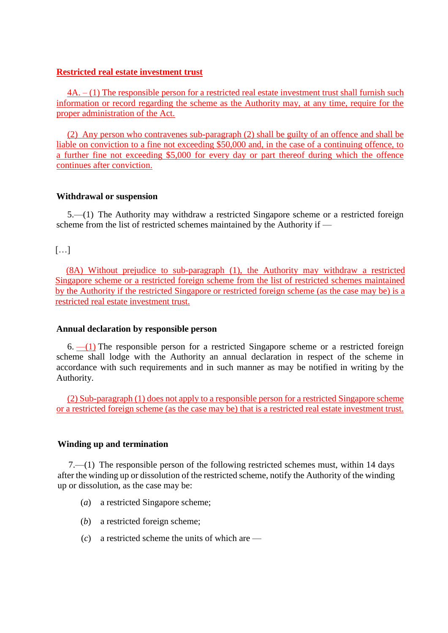## **Restricted real estate investment trust**

4A. – (1) The responsible person for a restricted real estate investment trust shall furnish such information or record regarding the scheme as the Authority may, at any time, require for the proper administration of the Act.

(2) Any person who contravenes sub-paragraph (2) shall be guilty of an offence and shall be liable on conviction to a fine not exceeding \$50,000 and, in the case of a continuing offence, to a further fine not exceeding \$5,000 for every day or part thereof during which the offence continues after conviction.

## **Withdrawal or suspension**

5.—(1) The Authority may withdraw a restricted Singapore scheme or a restricted foreign scheme from the list of restricted schemes maintained by the Authority if —

# […]

(8A) Without prejudice to sub-paragraph (1), the Authority may withdraw a restricted Singapore scheme or a restricted foreign scheme from the list of restricted schemes maintained by the Authority if the restricted Singapore or restricted foreign scheme (as the case may be) is a restricted real estate investment trust.

### **Annual declaration by responsible person**

 $6.$  —(1) The responsible person for a restricted Singapore scheme or a restricted foreign scheme shall lodge with the Authority an annual declaration in respect of the scheme in accordance with such requirements and in such manner as may be notified in writing by the Authority.

(2) Sub-paragraph (1) does not apply to a responsible person for a restricted Singapore scheme or a restricted foreign scheme (as the case may be) that is a restricted real estate investment trust.

### **Winding up and termination**

7.—(1) The responsible person of the following restricted schemes must, within 14 days after the winding up or dissolution of the restricted scheme, notify the Authority of the winding up or dissolution, as the case may be:

- (*a*) a restricted Singapore scheme;
- (*b*) a restricted foreign scheme;
- (*c*) a restricted scheme the units of which are —